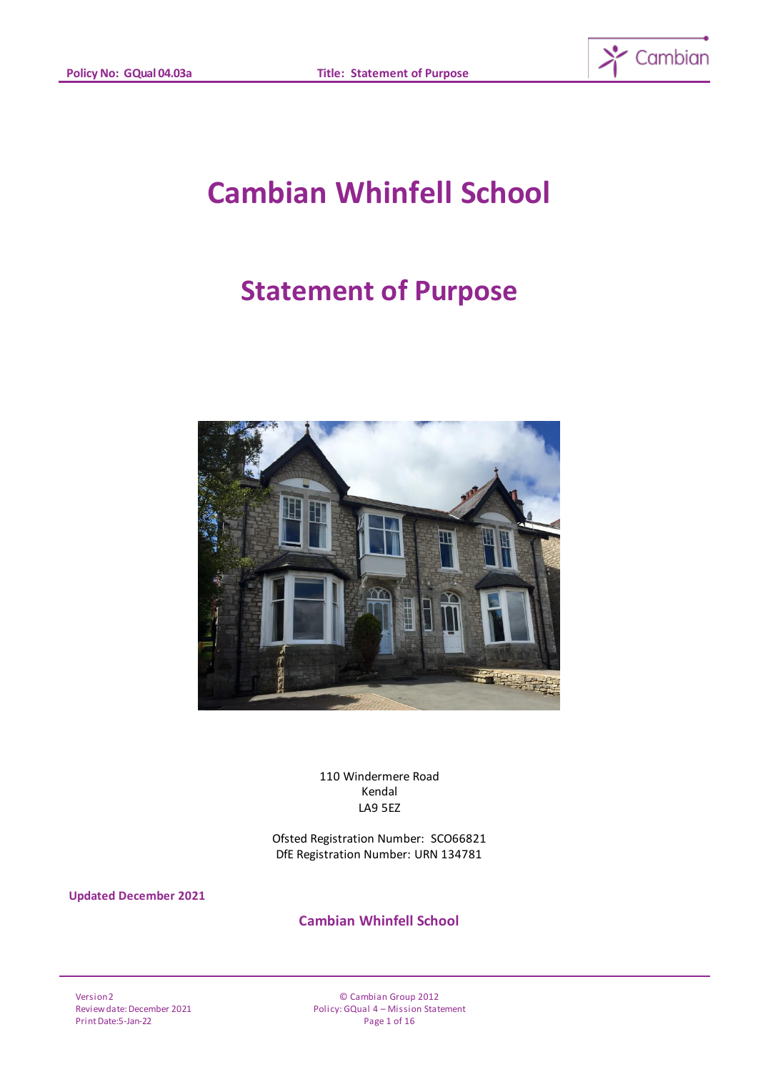

# **Cambian Whinfell School**

## **Statement of Purpose**



110 Windermere Road Kendal LA9 5EZ

Ofsted Registration Number: SCO66821 DfE Registration Number: URN 134781

**Updated December 2021**

**Cambian Whinfell School**

Version 2 Review date: December 2021 Print Date:5-Jan-22

© Cambian Group 2012 Policy: GQual 4 – Mission Statement Page 1 of 16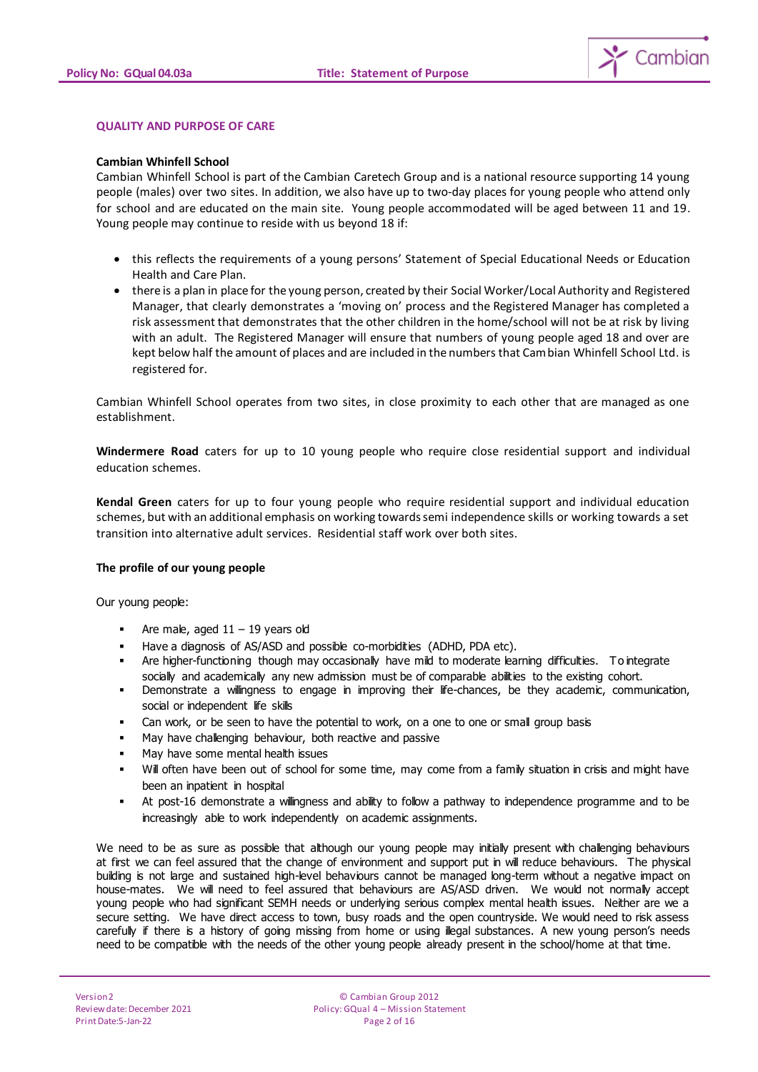

#### **QUALITY AND PURPOSE OF CARE**

#### **Cambian Whinfell School**

Cambian Whinfell School is part of the Cambian Caretech Group and is a national resource supporting 14 young people (males) over two sites. In addition, we also have up to two-day places for young people who attend only for school and are educated on the main site. Young people accommodated will be aged between 11 and 19. Young people may continue to reside with us beyond 18 if:

- this reflects the requirements of a young persons' Statement of Special Educational Needs or Education Health and Care Plan.
- there is a plan in place for the young person, created by their Social Worker/Local Authority and Registered Manager, that clearly demonstrates a 'moving on' process and the Registered Manager has completed a risk assessment that demonstrates that the other children in the home/school will not be at risk by living with an adult. The Registered Manager will ensure that numbers of young people aged 18 and over are kept below half the amount of places and are included in the numbers that Cambian Whinfell School Ltd. is registered for.

Cambian Whinfell School operates from two sites, in close proximity to each other that are managed as one establishment.

**Windermere Road** caters for up to 10 young people who require close residential support and individual education schemes.

**Kendal Green** caters for up to four young people who require residential support and individual education schemes, but with an additional emphasis on working towards semi independence skills or working towards a set transition into alternative adult services. Residential staff work over both sites.

#### **The profile of our young people**

Our young people:

- Are male, aged  $11 19$  years old
- Have a diagnosis of AS/ASD and possible co-morbidities (ADHD, PDA etc).
- Are higher-functioning though may occasionally have mild to moderate learning difficulties. To integrate socially and academically any new admission must be of comparable abilities to the existing cohort.
- Demonstrate a willingness to engage in improving their life-chances, be they academic, communication, social or independent life skills
- Can work, or be seen to have the potential to work, on a one to one or small group basis
- May have challenging behaviour, both reactive and passive
- May have some mental health issues
- Will often have been out of school for some time, may come from a family situation in crisis and might have been an inpatient in hospital
- At post-16 demonstrate a willingness and ability to follow a pathway to independence programme and to be increasingly able to work independently on academic assignments.

We need to be as sure as possible that although our young people may initially present with challenging behaviours at first we can feel assured that the change of environment and support put in will reduce behaviours. The physical building is not large and sustained high-level behaviours cannot be managed long-term without a negative impact on house-mates. We will need to feel assured that behaviours are AS/ASD driven. We would not normally accept young people who had significant SEMH needs or underlying serious complex mental health issues. Neither are we a secure setting. We have direct access to town, busy roads and the open countryside. We would need to risk assess carefully if there is a history of going missing from home or using illegal substances. A new young person's needs need to be compatible with the needs of the other young people already present in the school/home at that time.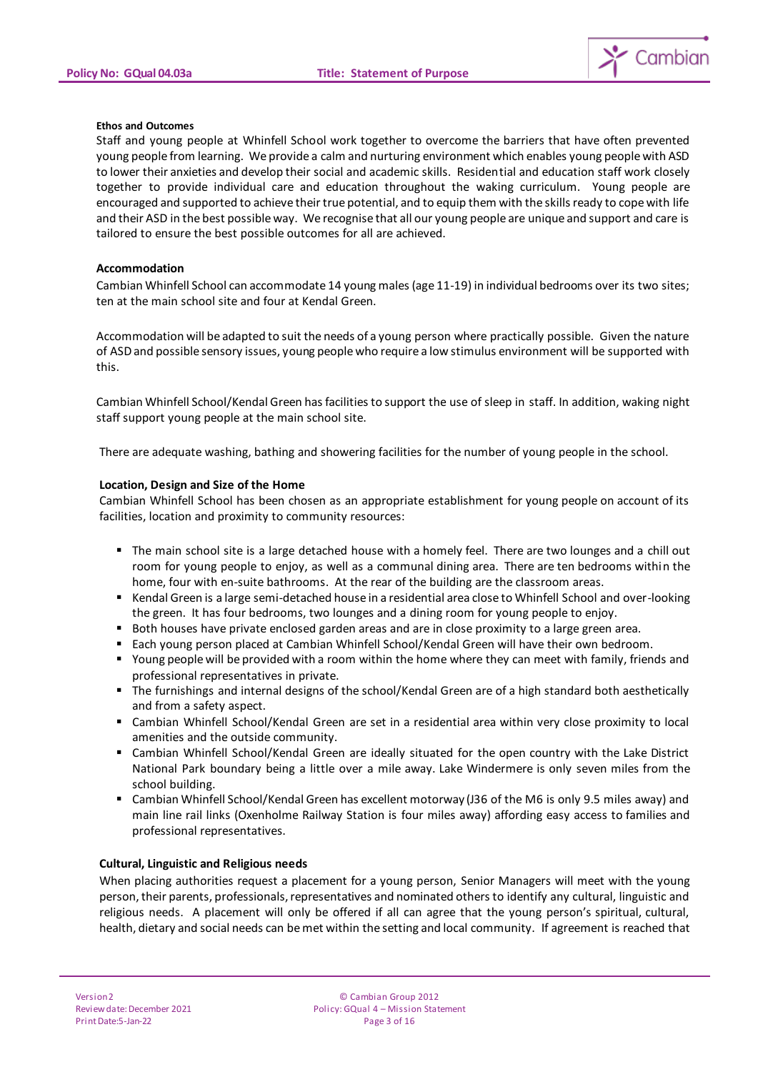

#### **Ethos and Outcomes**

Staff and young people at Whinfell School work together to overcome the barriers that have often prevented young people from learning. We provide a calm and nurturing environment which enables young people with ASD to lower their anxieties and develop their social and academic skills. Residential and education staff work closely together to provide individual care and education throughout the waking curriculum. Young people are encouraged and supported to achieve their true potential, and to equip them with the skills ready to cope with life and their ASD in the best possible way. We recognise that all our young people are unique and support and care is tailored to ensure the best possible outcomes for all are achieved.

#### **Accommodation**

Cambian Whinfell School can accommodate 14 young males (age 11-19) in individual bedrooms over its two sites; ten at the main school site and four at Kendal Green.

Accommodation will be adapted to suit the needs of a young person where practically possible. Given the nature of ASD and possible sensory issues, young people who require a low stimulus environment will be supported with this.

Cambian Whinfell School/Kendal Green has facilities to support the use of sleep in staff. In addition, waking night staff support young people at the main school site.

There are adequate washing, bathing and showering facilities for the number of young people in the school.

#### **Location, Design and Size of the Home**

Cambian Whinfell School has been chosen as an appropriate establishment for young people on account of its facilities, location and proximity to community resources:

- The main school site is a large detached house with a homely feel. There are two lounges and a chill out room for young people to enjoy, as well as a communal dining area. There are ten bedrooms within the home, four with en-suite bathrooms. At the rear of the building are the classroom areas.
- Kendal Green is a large semi-detached house in a residential area close to Whinfell School and over-looking the green. It has four bedrooms, two lounges and a dining room for young people to enjoy.
- Both houses have private enclosed garden areas and are in close proximity to a large green area.
- Each young person placed at Cambian Whinfell School/Kendal Green will have their own bedroom.
- Young people will be provided with a room within the home where they can meet with family, friends and professional representatives in private.
- The furnishings and internal designs of the school/Kendal Green are of a high standard both aesthetically and from a safety aspect.
- Cambian Whinfell School/Kendal Green are set in a residential area within very close proximity to local amenities and the outside community.
- Cambian Whinfell School/Kendal Green are ideally situated for the open country with the Lake District National Park boundary being a little over a mile away. Lake Windermere is only seven miles from the school building.
- Cambian Whinfell School/Kendal Green has excellent motorway (J36 of the M6 is only 9.5 miles away) and main line rail links (Oxenholme Railway Station is four miles away) affording easy access to families and professional representatives.

#### **Cultural, Linguistic and Religious needs**

When placing authorities request a placement for a young person, Senior Managers will meet with the young person, their parents, professionals, representatives and nominated others to identify any cultural, linguistic and religious needs. A placement will only be offered if all can agree that the young person's spiritual, cultural, health, dietary and social needs can be met within the setting and local community. If agreement is reached that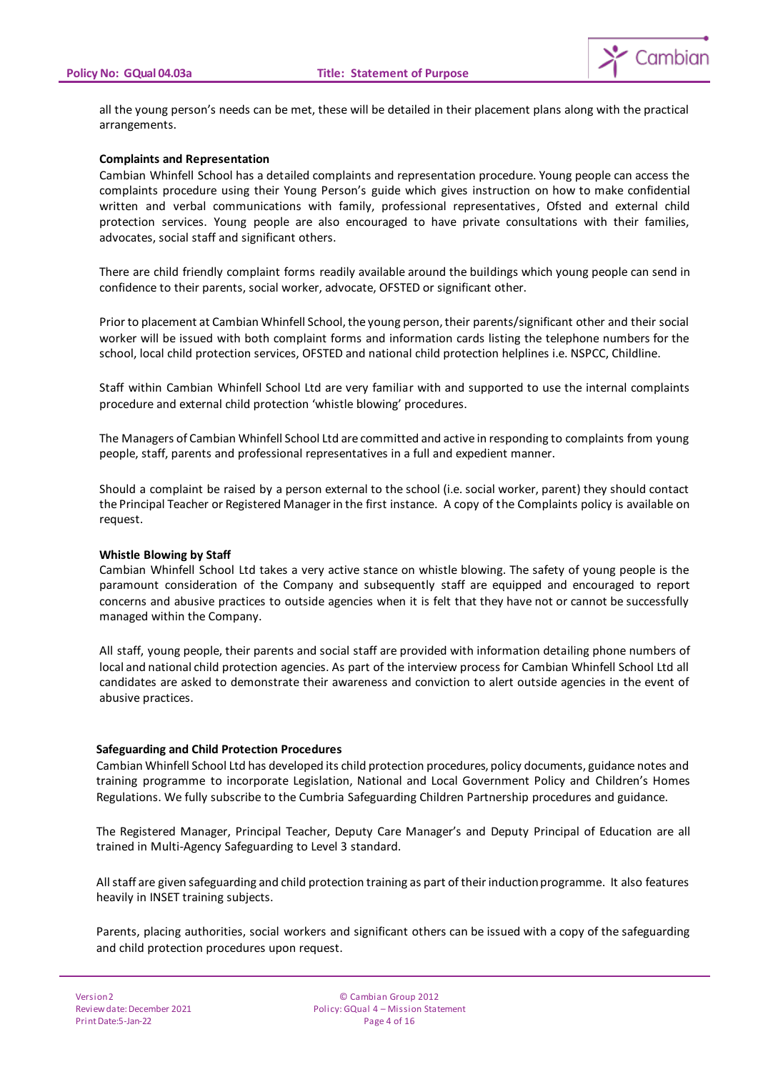

all the young person's needs can be met, these will be detailed in their placement plans along with the practical arrangements.

#### **Complaints and Representation**

Cambian Whinfell School has a detailed complaints and representation procedure. Young people can access the complaints procedure using their Young Person's guide which gives instruction on how to make confidential written and verbal communications with family, professional representatives, Ofsted and external child protection services. Young people are also encouraged to have private consultations with their families, advocates, social staff and significant others.

There are child friendly complaint forms readily available around the buildings which young people can send in confidence to their parents, social worker, advocate, OFSTED or significant other.

Prior to placement at Cambian Whinfell School, the young person, their parents/significant other and their social worker will be issued with both complaint forms and information cards listing the telephone numbers for the school, local child protection services, OFSTED and national child protection helplines i.e. NSPCC, Childline.

Staff within Cambian Whinfell School Ltd are very familiar with and supported to use the internal complaints procedure and external child protection 'whistle blowing' procedures.

The Managers of Cambian Whinfell School Ltd are committed and active in responding to complaints from young people, staff, parents and professional representatives in a full and expedient manner.

Should a complaint be raised by a person external to the school (i.e. social worker, parent) they should contact the Principal Teacher or Registered Manager in the first instance. A copy of the Complaints policy is available on request.

#### **Whistle Blowing by Staff**

Cambian Whinfell School Ltd takes a very active stance on whistle blowing. The safety of young people is the paramount consideration of the Company and subsequently staff are equipped and encouraged to report concerns and abusive practices to outside agencies when it is felt that they have not or cannot be successfully managed within the Company.

All staff, young people, their parents and social staff are provided with information detailing phone numbers of local and national child protection agencies. As part of the interview process for Cambian Whinfell School Ltd all candidates are asked to demonstrate their awareness and conviction to alert outside agencies in the event of abusive practices.

#### **Safeguarding and Child Protection Procedures**

Cambian Whinfell School Ltd has developed its child protection procedures, policy documents, guidance notes and training programme to incorporate Legislation, National and Local Government Policy and Children's Homes Regulations. We fully subscribe to the Cumbria Safeguarding Children Partnership procedures and guidance.

The Registered Manager, Principal Teacher, Deputy Care Manager's and Deputy Principal of Education are all trained in Multi-Agency Safeguarding to Level 3 standard.

All staff are given safeguarding and child protection training as part of their induction programme. It also features heavily in INSET training subjects.

Parents, placing authorities, social workers and significant others can be issued with a copy of the safeguarding and child protection procedures upon request.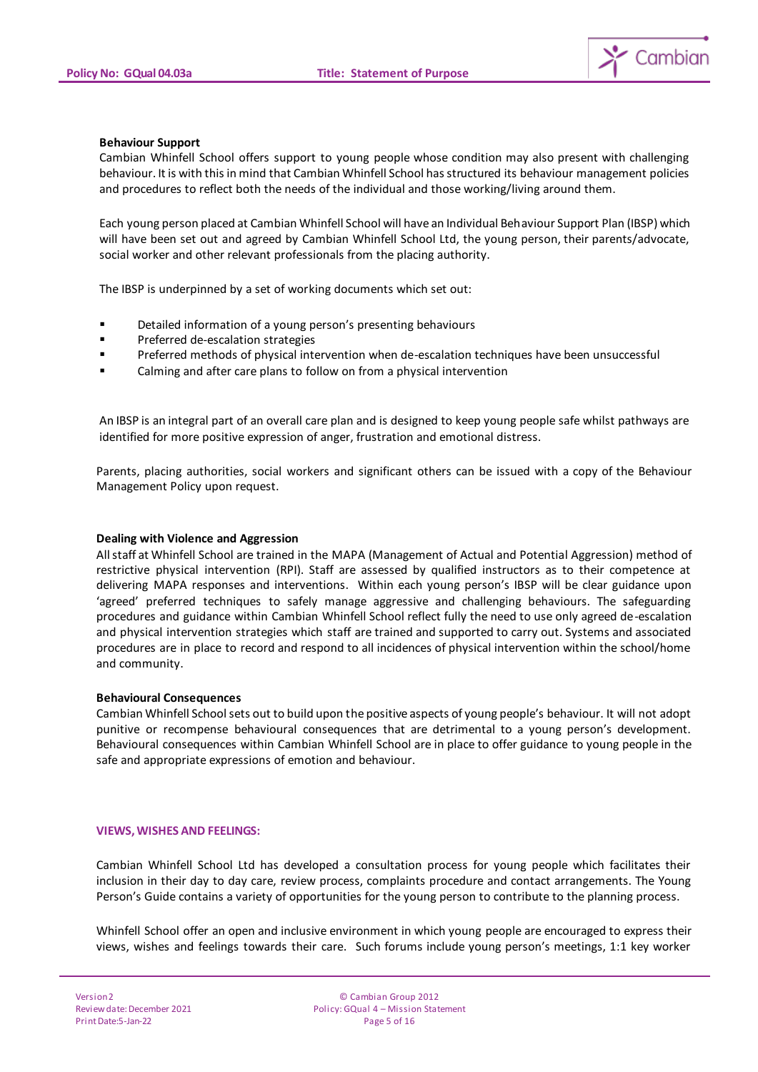

#### **Behaviour Support**

Cambian Whinfell School offers support to young people whose condition may also present with challenging behaviour. It is with this in mind that Cambian Whinfell School has structured its behaviour management policies and procedures to reflect both the needs of the individual and those working/living around them.

Each young person placed at Cambian Whinfell School will have an Individual Behaviour Support Plan (IBSP) which will have been set out and agreed by Cambian Whinfell School Ltd, the young person, their parents/advocate, social worker and other relevant professionals from the placing authority.

The IBSP is underpinned by a set of working documents which set out:

- **EXECT** Detailed information of a young person's presenting behaviours
- **Preferred de-escalation strategies**
- Preferred methods of physical intervention when de-escalation techniques have been unsuccessful
- Calming and after care plans to follow on from a physical intervention

An IBSP is an integral part of an overall care plan and is designed to keep young people safe whilst pathways are identified for more positive expression of anger, frustration and emotional distress.

Parents, placing authorities, social workers and significant others can be issued with a copy of the Behaviour Management Policy upon request.

#### **Dealing with Violence and Aggression**

All staff at Whinfell School are trained in the MAPA (Management of Actual and Potential Aggression) method of restrictive physical intervention (RPI). Staff are assessed by qualified instructors as to their competence at delivering MAPA responses and interventions. Within each young person's IBSP will be clear guidance upon 'agreed' preferred techniques to safely manage aggressive and challenging behaviours. The safeguarding procedures and guidance within Cambian Whinfell School reflect fully the need to use only agreed de-escalation and physical intervention strategies which staff are trained and supported to carry out. Systems and associated procedures are in place to record and respond to all incidences of physical intervention within the school/home and community.

#### **Behavioural Consequences**

Cambian Whinfell School sets out to build upon the positive aspects of young people's behaviour. It will not adopt punitive or recompense behavioural consequences that are detrimental to a young person's development. Behavioural consequences within Cambian Whinfell School are in place to offer guidance to young people in the safe and appropriate expressions of emotion and behaviour.

#### **VIEWS, WISHES AND FEELINGS:**

Cambian Whinfell School Ltd has developed a consultation process for young people which facilitates their inclusion in their day to day care, review process, complaints procedure and contact arrangements. The Young Person's Guide contains a variety of opportunities for the young person to contribute to the planning process.

Whinfell School offer an open and inclusive environment in which young people are encouraged to express their views, wishes and feelings towards their care. Such forums include young person's meetings, 1:1 key worker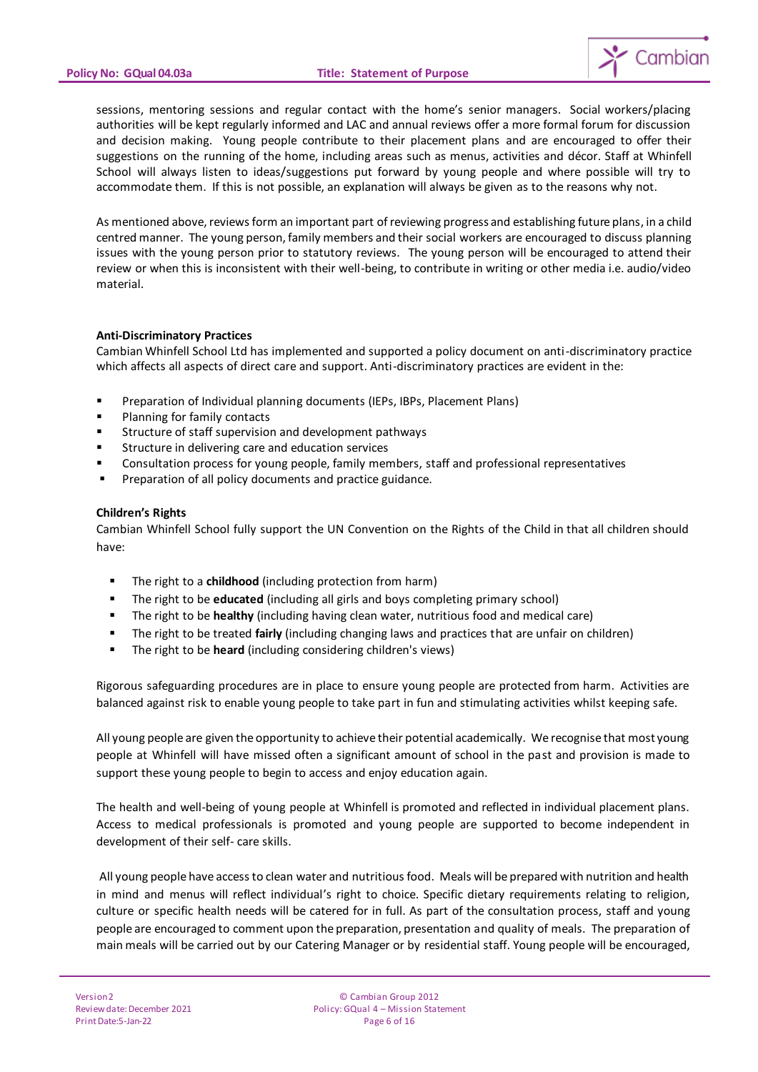

sessions, mentoring sessions and regular contact with the home's senior managers. Social workers/placing authorities will be kept regularly informed and LAC and annual reviews offer a more formal forum for discussion and decision making. Young people contribute to their placement plans and are encouraged to offer their suggestions on the running of the home, including areas such as menus, activities and décor. Staff at Whinfell School will always listen to ideas/suggestions put forward by young people and where possible will try to accommodate them. If this is not possible, an explanation will always be given as to the reasons why not.

As mentioned above, reviews form an important part of reviewing progress and establishing future plans, in a child centred manner. The young person, family members and their social workers are encouraged to discuss planning issues with the young person prior to statutory reviews. The young person will be encouraged to attend their review or when this is inconsistent with their well-being, to contribute in writing or other media i.e. audio/video material.

## **Anti-Discriminatory Practices**

Cambian Whinfell School Ltd has implemented and supported a policy document on anti-discriminatory practice which affects all aspects of direct care and support. Anti-discriminatory practices are evident in the:

- Preparation of Individual planning documents (IEPs, IBPs, Placement Plans)
- Planning for family contacts
- Structure of staff supervision and development pathways
- Structure in delivering care and education services
- Consultation process for young people, family members, staff and professional representatives
- Preparation of all policy documents and practice guidance.

#### **Children's Rights**

Cambian Whinfell School fully support the UN Convention on the Rights of the Child in that all children should have:

- The right to a **childhood** (including protection from harm)
- The right to be **educated** (including all girls and boys completing primary school)
- The right to be **healthy** (including having clean water, nutritious food and medical care)
- The right to be treated **fairly** (including changing laws and practices that are unfair on children)
- The right to be **heard** (including considering children's views)

Rigorous safeguarding procedures are in place to ensure young people are protected from harm. Activities are balanced against risk to enable young people to take part in fun and stimulating activities whilst keeping safe.

All young people are given the opportunity to achieve their potential academically. We recognise that most young people at Whinfell will have missed often a significant amount of school in the past and provision is made to support these young people to begin to access and enjoy education again.

The health and well-being of young people at Whinfell is promoted and reflected in individual placement plans. Access to medical professionals is promoted and young people are supported to become independent in development of their self- care skills.

All young people have access to clean water and nutritious food. Meals will be prepared with nutrition and health in mind and menus will reflect individual's right to choice. Specific dietary requirements relating to religion, culture or specific health needs will be catered for in full. As part of the consultation process, staff and young people are encouraged to comment upon the preparation, presentation and quality of meals. The preparation of main meals will be carried out by our Catering Manager or by residential staff. Young people will be encouraged,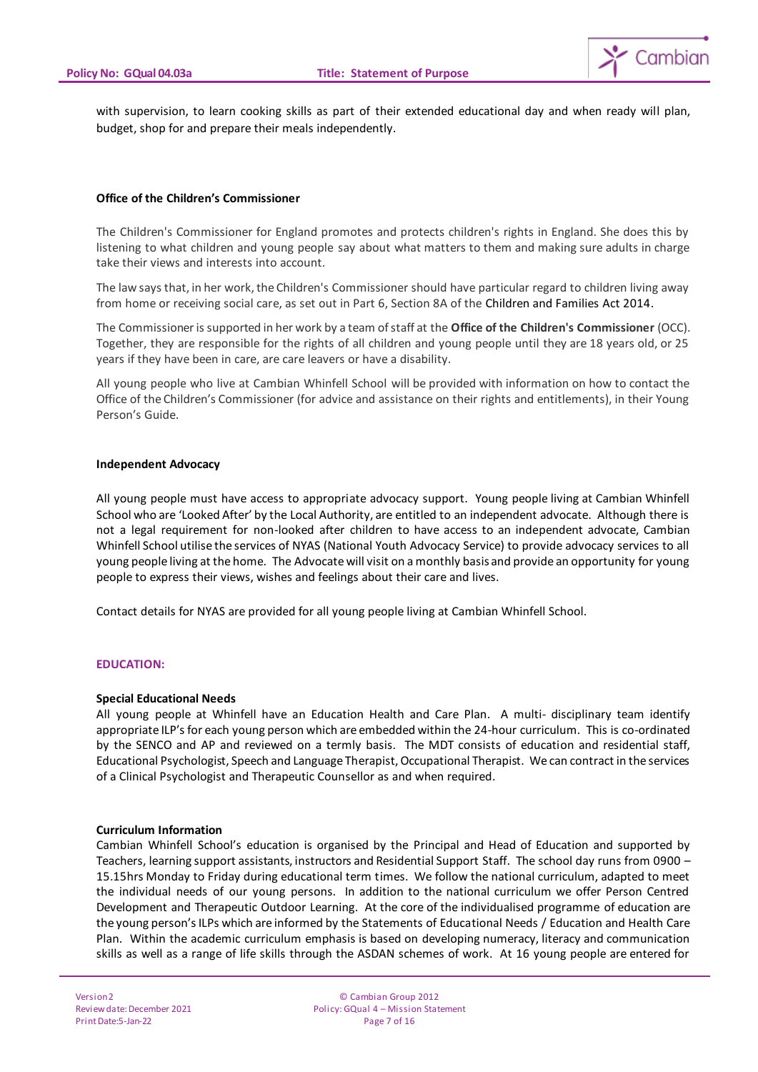

with supervision, to learn cooking skills as part of their extended educational day and when ready will plan, budget, shop for and prepare their meals independently.

## **Office of the Children's Commissioner**

The Children's Commissioner for England promotes and protects children's rights in England. She does this by listening to what children and young people say about what matters to them and making sure adults in charge take their views and interests into account.

The law says that, in her work, the Children's Commissioner should have particular regard to children living away from home or receiving social care, as set out in Part 6, Section 8A of t[he Children and Families](http://www.legislation.gov.uk/ukpga/2014/6/part/6/enacted) Act 2014.

The Commissioner is supported in her work by a team of staff at the **Office of the Children's Commissioner** (OCC). Together, they are responsible for the rights of all children and young people until they are 18 years old, or 25 years if they have been in care, are care leavers or have a disability.

All young people who live at Cambian Whinfell School will be provided with information on how to contact the Office of the Children's Commissioner (for advice and assistance on their rights and entitlements), in their Young Person's Guide.

#### **Independent Advocacy**

All young people must have access to appropriate advocacy support. Young people living at Cambian Whinfell School who are 'Looked After' by the Local Authority, are entitled to an independent advocate. Although there is not a legal requirement for non-looked after children to have access to an independent advocate, Cambian Whinfell School utilise the services of NYAS (National Youth Advocacy Service) to provide advocacy services to all young people living at the home. The Advocate will visit on a monthly basis and provide an opportunity for young people to express their views, wishes and feelings about their care and lives.

Contact details for NYAS are provided for all young people living at Cambian Whinfell School.

#### **EDUCATION:**

#### **Special Educational Needs**

All young people at Whinfell have an Education Health and Care Plan. A multi- disciplinary team identify appropriate ILP's for each young person which are embedded within the 24-hour curriculum. This is co-ordinated by the SENCO and AP and reviewed on a termly basis. The MDT consists of education and residential staff, Educational Psychologist, Speech and Language Therapist, Occupational Therapist. We can contract in the services of a Clinical Psychologist and Therapeutic Counsellor as and when required.

## **Curriculum Information**

Cambian Whinfell School's education is organised by the Principal and Head of Education and supported by Teachers, learning support assistants, instructors and Residential Support Staff. The school day runs from 0900 – 15.15hrs Monday to Friday during educational term times. We follow the national curriculum, adapted to meet the individual needs of our young persons. In addition to the national curriculum we offer Person Centred Development and Therapeutic Outdoor Learning. At the core of the individualised programme of education are the young person's ILPs which are informed by the Statements of Educational Needs / Education and Health Care Plan. Within the academic curriculum emphasis is based on developing numeracy, literacy and communication skills as well as a range of life skills through the ASDAN schemes of work. At 16 young people are entered for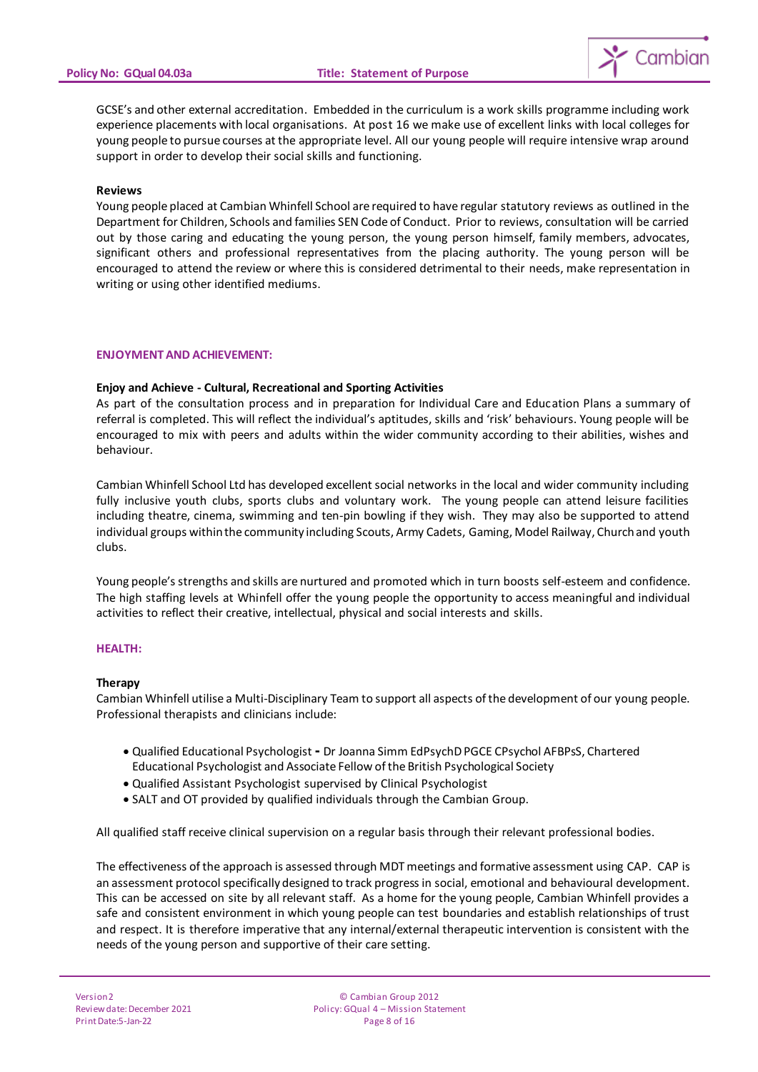

GCSE's and other external accreditation. Embedded in the curriculum is a work skills programme including work experience placements with local organisations. At post 16 we make use of excellent links with local colleges for young people to pursue courses at the appropriate level. All our young people will require intensive wrap around support in order to develop their social skills and functioning.

#### **Reviews**

Young people placed at Cambian Whinfell School are required to have regular statutory reviews as outlined in the Department for Children, Schools and families SEN Code of Conduct. Prior to reviews, consultation will be carried out by those caring and educating the young person, the young person himself, family members, advocates, significant others and professional representatives from the placing authority. The young person will be encouraged to attend the review or where this is considered detrimental to their needs, make representation in writing or using other identified mediums.

#### **ENJOYMENT AND ACHIEVEMENT:**

## **Enjoy and Achieve - Cultural, Recreational and Sporting Activities**

As part of the consultation process and in preparation for Individual Care and Education Plans a summary of referral is completed. This will reflect the individual's aptitudes, skills and 'risk' behaviours. Young people will be encouraged to mix with peers and adults within the wider community according to their abilities, wishes and behaviour.

Cambian Whinfell School Ltd has developed excellent social networks in the local and wider community including fully inclusive youth clubs, sports clubs and voluntary work. The young people can attend leisure facilities including theatre, cinema, swimming and ten-pin bowling if they wish. They may also be supported to attend individual groups within the community including Scouts, Army Cadets, Gaming, Model Railway, Church and youth clubs.

Young people's strengths and skills are nurtured and promoted which in turn boosts self-esteem and confidence. The high staffing levels at Whinfell offer the young people the opportunity to access meaningful and individual activities to reflect their creative, intellectual, physical and social interests and skills.

## **HEALTH:**

## **Therapy**

Cambian Whinfell utilise a Multi-Disciplinary Team to support all aspects of the development of our young people. Professional therapists and clinicians include:

- Qualified Educational Psychologist **-** Dr Joanna Simm EdPsychD PGCE CPsychol AFBPsS, Chartered Educational Psychologist and Associate Fellow of the British Psychological Society
- Qualified Assistant Psychologist supervised by Clinical Psychologist
- SALT and OT provided by qualified individuals through the Cambian Group.

All qualified staff receive clinical supervision on a regular basis through their relevant professional bodies.

The effectiveness of the approach is assessed through MDT meetings and formative assessment using CAP. CAP is an assessment protocol specifically designed to track progress in social, emotional and behavioural development. This can be accessed on site by all relevant staff. As a home for the young people, Cambian Whinfell provides a safe and consistent environment in which young people can test boundaries and establish relationships of trust and respect. It is therefore imperative that any internal/external therapeutic intervention is consistent with the needs of the young person and supportive of their care setting.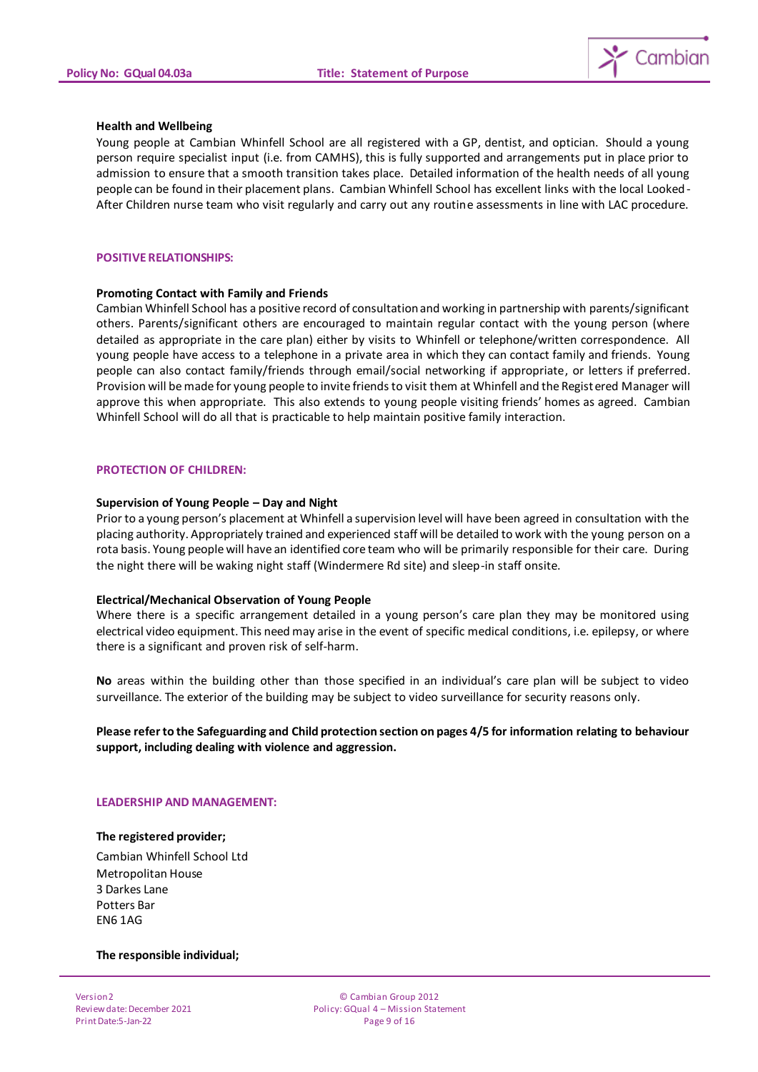

#### **Health and Wellbeing**

Young people at Cambian Whinfell School are all registered with a GP, dentist, and optician. Should a young person require specialist input (i.e. from CAMHS), this is fully supported and arrangements put in place prior to admission to ensure that a smooth transition takes place. Detailed information of the health needs of all young people can be found in their placement plans. Cambian Whinfell School has excellent links with the local Looked-After Children nurse team who visit regularly and carry out any routine assessments in line with LAC procedure.

#### **POSITIVE RELATIONSHIPS:**

#### **Promoting Contact with Family and Friends**

Cambian Whinfell School has a positive record of consultation and working in partnership with parents/significant others. Parents/significant others are encouraged to maintain regular contact with the young person (where detailed as appropriate in the care plan) either by visits to Whinfell or telephone/written correspondence. All young people have access to a telephone in a private area in which they can contact family and friends. Young people can also contact family/friends through email/social networking if appropriate, or letters if preferred. Provision will be made for young people to invite friends to visit them at Whinfell and the Registered Manager will approve this when appropriate. This also extends to young people visiting friends' homes as agreed. Cambian Whinfell School will do all that is practicable to help maintain positive family interaction.

## **PROTECTION OF CHILDREN:**

#### **Supervision of Young People – Day and Night**

Prior to a young person's placement at Whinfell a supervision level will have been agreed in consultation with the placing authority. Appropriately trained and experienced staff will be detailed to work with the young person on a rota basis. Young people will have an identified core team who will be primarily responsible for their care. During the night there will be waking night staff (Windermere Rd site) and sleep-in staff onsite.

#### **Electrical/Mechanical Observation of Young People**

Where there is a specific arrangement detailed in a young person's care plan they may be monitored using electrical video equipment. This need may arise in the event of specific medical conditions, i.e. epilepsy, or where there is a significant and proven risk of self-harm.

**No** areas within the building other than those specified in an individual's care plan will be subject to video surveillance. The exterior of the building may be subject to video surveillance for security reasons only.

**Please refer to the Safeguarding and Child protection section on pages 4/5 for information relating to behaviour support, including dealing with violence and aggression.**

#### **LEADERSHIP AND MANAGEMENT:**

#### **The registered provider;**

Cambian Whinfell School Ltd Metropolitan House 3 Darkes Lane Potters Bar EN6 1AG

#### **The responsible individual;**

Version 2 Review date: December 2021 Print Date:5-Jan-22

© Cambian Group 2012 Policy: GQual 4 – Mission Statement Page 9 of 16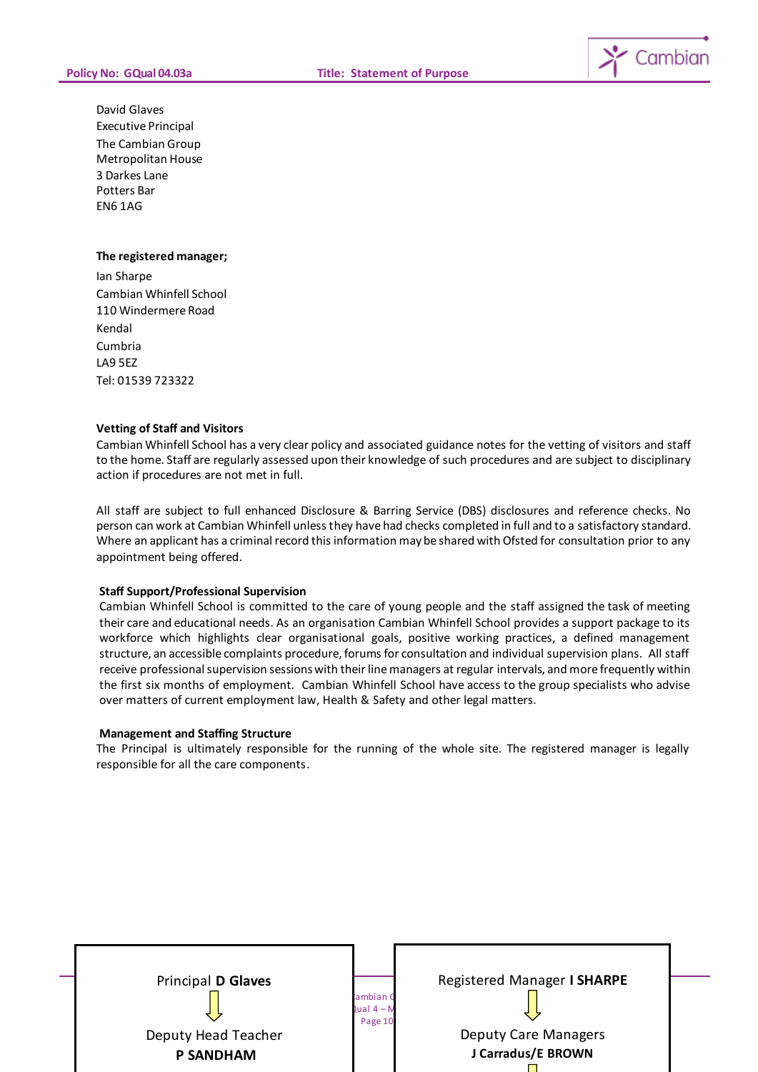

David Glaves Executive Principal The Cambian Group Metropolitan House 3 Darkes Lane Potters Bar EN6 1AG

#### **The registered manager;**

Ian Sharpe Cambian Whinfell School 110 Windermere Road Kendal Cumbria LA9 5EZ Tel: 01539 723322

## **Vetting of Staff and Visitors**

Cambian Whinfell School has a very clear policy and associated guidance notes for the vetting of visitors and staff to the home. Staff are regularly assessed upon their knowledge of such procedures and are subject to disciplinary action if procedures are not met in full.

All staff are subject to full enhanced Disclosure & Barring Service (DBS) disclosures and reference checks. No person can work at Cambian Whinfell unless they have had checks completed in full and to a satisfactory standard. Where an applicant has a criminal record this information may be shared with Ofsted for consultation prior to any appointment being offered.

## **Staff Support/Professional Supervision**

Cambian Whinfell School is committed to the care of young people and the staff assigned the task of meeting their care and educational needs. As an organisation Cambian Whinfell School provides a support package to its workforce which highlights clear organisational goals, positive working practices, a defined management structure, an accessible complaints procedure, forums for consultation and individual supervision plans. All staff receive professional supervision sessions with their line managers at regular intervals, and more frequently within the first six months of employment. Cambian Whinfell School have access to the group specialists who advise over matters of current employment law, Health & Safety and other legal matters.

#### **Management and Staffing Structure**

The Principal is ultimately responsible for the running of the whole site. The registered manager is legally responsible for all the care components.

| <b>Principal D Glaves</b> |                                            | Registered Manager I SHARPE |  |
|---------------------------|--------------------------------------------|-----------------------------|--|
|                           | ambian G<br>$\lambda$ ual 4 – M<br>Page 10 |                             |  |
| Deputy Head Teacher       |                                            | <b>Deputy Care Managers</b> |  |
| <b>P SANDHAM</b>          |                                            | J Carradus/E BROWN          |  |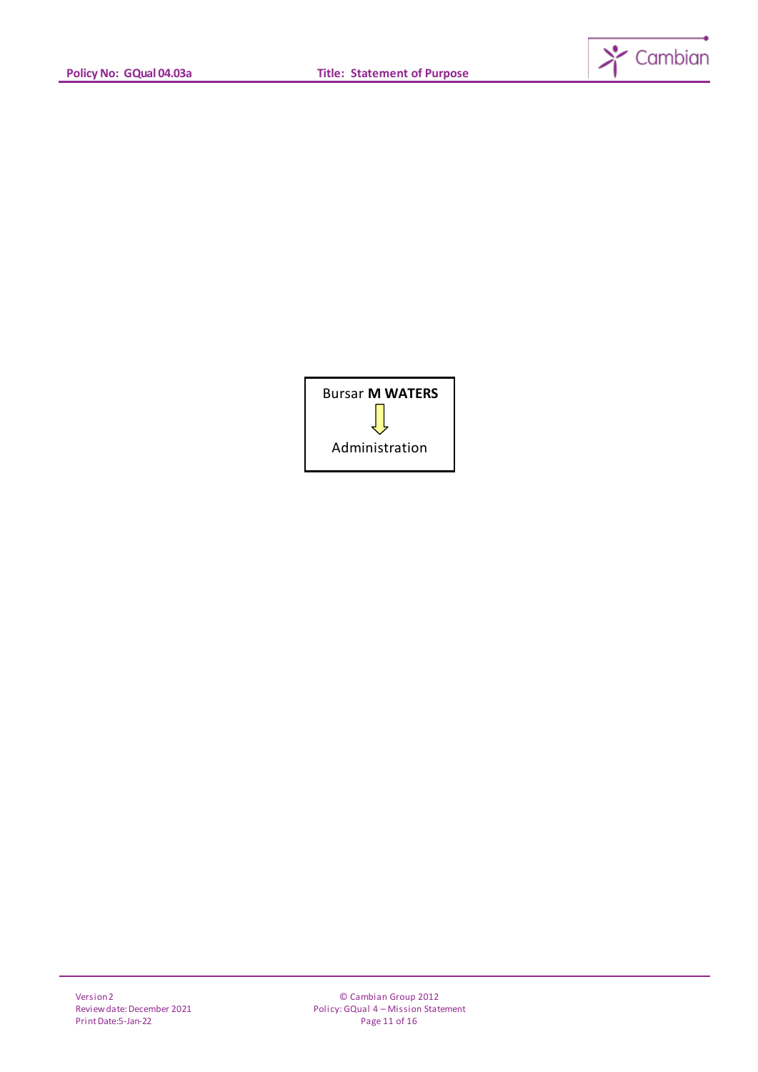

| <b>Bursar M WATERS</b> |  |  |
|------------------------|--|--|
|                        |  |  |
| Administration         |  |  |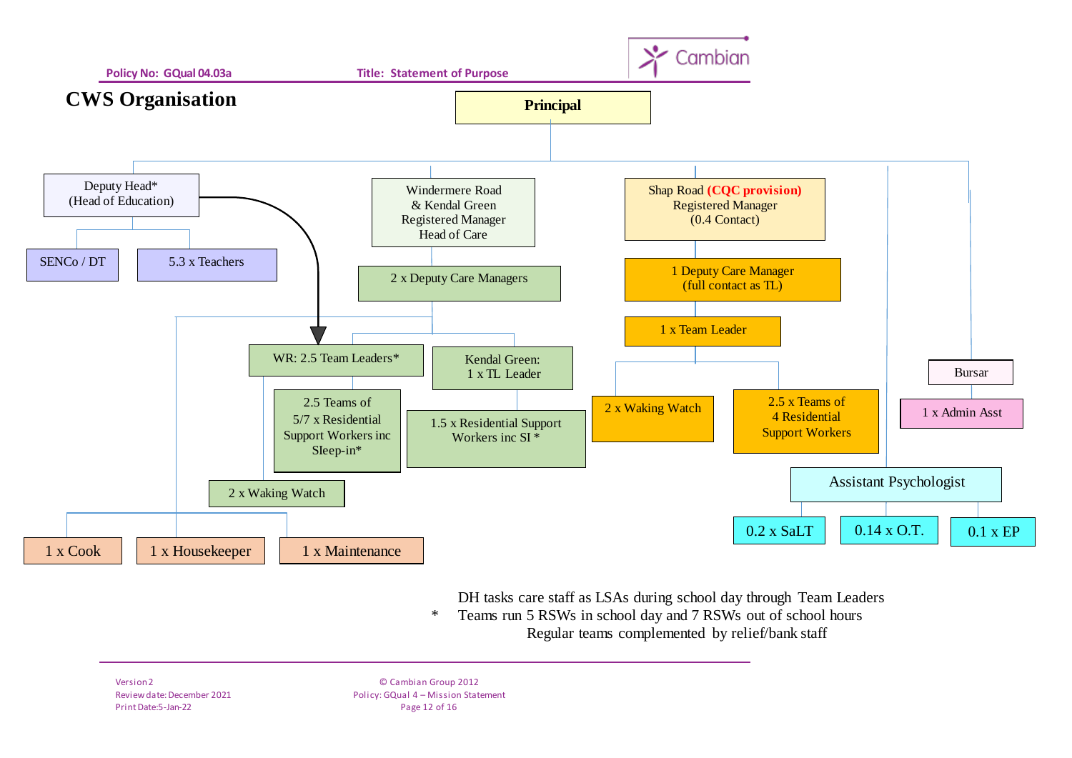

DH tasks care staff as LSAs during school day through Team Leaders

 \* Teams run 5 RSWs in school day and 7 RSWs out of school hours Regular teams complemented by relief/bank staff

Version 2 Review date: December 2021 Print Date:5-Jan-22

© Cambian Group 2012 Policy: GQual 4 – Mission Statement Page 12 of 16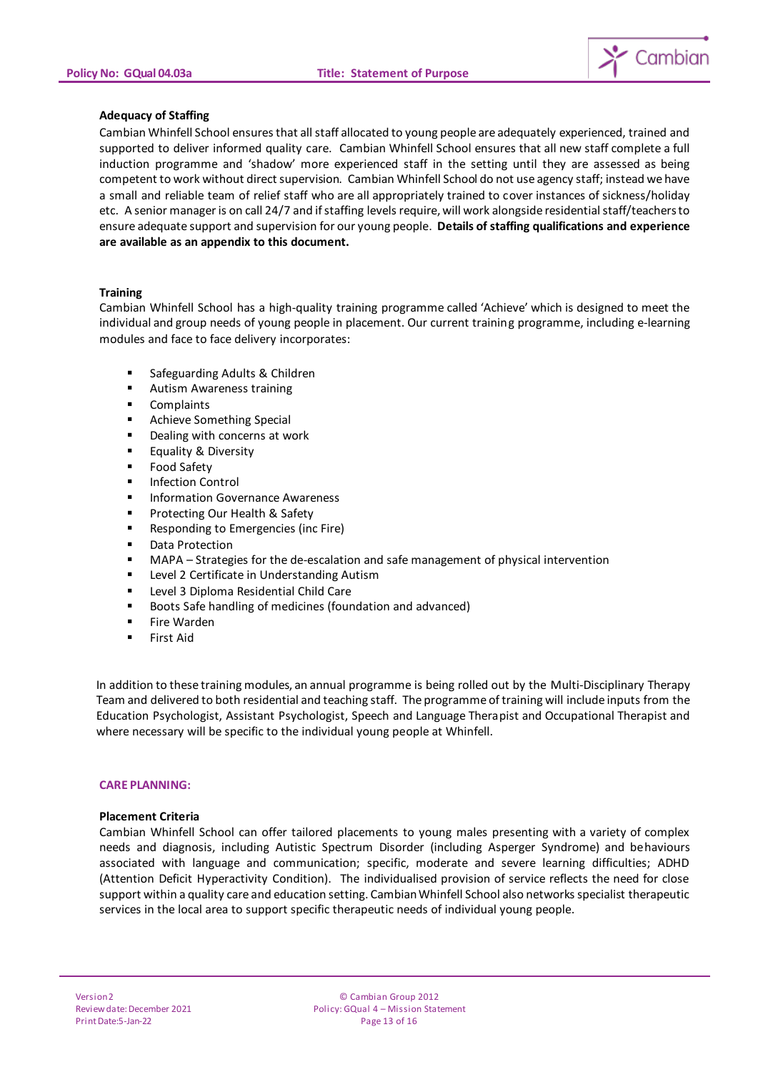

## **Adequacy of Staffing**

Cambian Whinfell School ensures that all staff allocated to young people are adequately experienced, trained and supported to deliver informed quality care. Cambian Whinfell School ensures that all new staff complete a full induction programme and 'shadow' more experienced staff in the setting until they are assessed as being competent to work without direct supervision. Cambian Whinfell School do not use agency staff; instead we have a small and reliable team of relief staff who are all appropriately trained to cover instances of sickness/holiday etc. A senior manager is on call 24/7 and if staffing levels require, will work alongside residential staff/teachers to ensure adequate support and supervision for our young people. **Details of staffing qualifications and experience are available as an appendix to this document.**

## **Training**

Cambian Whinfell School has a high-quality training programme called 'Achieve' which is designed to meet the individual and group needs of young people in placement. Our current training programme, including e-learning modules and face to face delivery incorporates:

- Safeguarding Adults & Children
- **Autism Awareness training**
- Complaints
- Achieve Something Special
- Dealing with concerns at work
- Equality & Diversity
- Food Safety
- Infection Control
- Information Governance Awareness
- Protecting Our Health & Safety
- Responding to Emergencies (inc Fire)
- Data Protection
- MAPA Strategies for the de-escalation and safe management of physical intervention
- Level 2 Certificate in Understanding Autism
- Level 3 Diploma Residential Child Care
- Boots Safe handling of medicines (foundation and advanced)
- Fire Warden
- First Aid

In addition to these training modules, an annual programme is being rolled out by the Multi-Disciplinary Therapy Team and delivered to both residential and teaching staff. The programme of training will include inputs from the Education Psychologist, Assistant Psychologist, Speech and Language Therapist and Occupational Therapist and where necessary will be specific to the individual young people at Whinfell.

## **CARE PLANNING:**

## **Placement Criteria**

Cambian Whinfell School can offer tailored placements to young males presenting with a variety of complex needs and diagnosis, including Autistic Spectrum Disorder (including Asperger Syndrome) and behaviours associated with language and communication; specific, moderate and severe learning difficulties; ADHD (Attention Deficit Hyperactivity Condition). The individualised provision of service reflects the need for close support within a quality care and education setting. Cambian Whinfell School also networks specialist therapeutic services in the local area to support specific therapeutic needs of individual young people.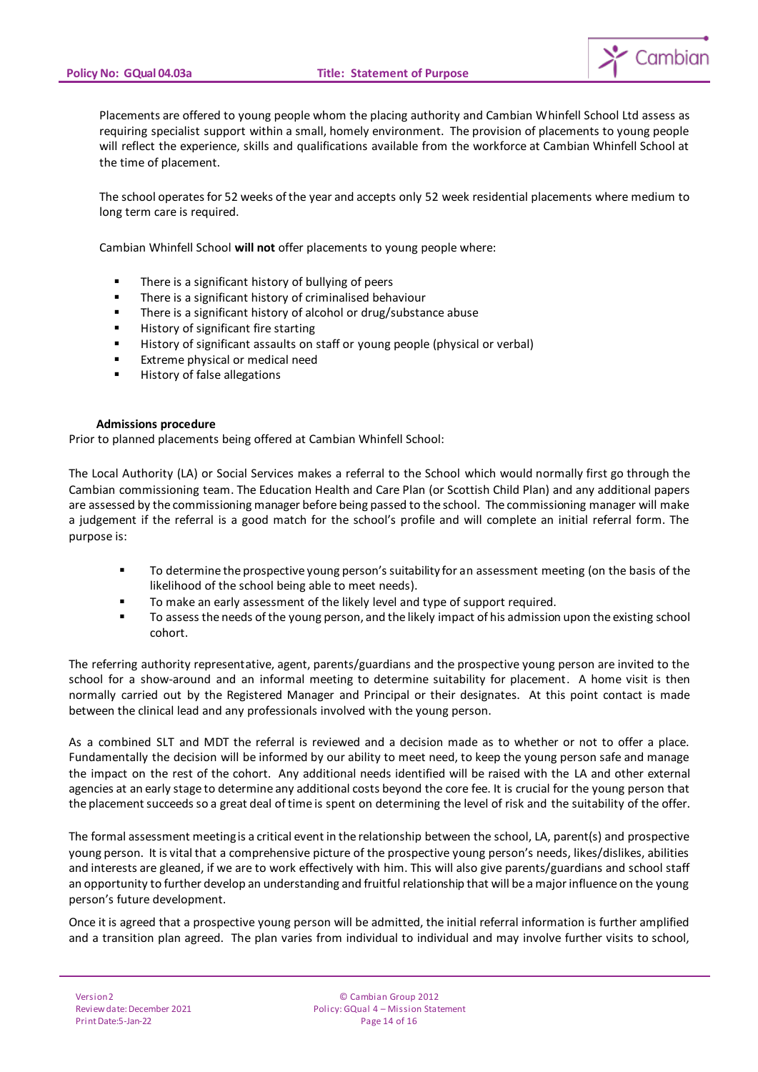

Placements are offered to young people whom the placing authority and Cambian Whinfell School Ltd assess as requiring specialist support within a small, homely environment. The provision of placements to young people will reflect the experience, skills and qualifications available from the workforce at Cambian Whinfell School at the time of placement.

The school operates for 52 weeks of the year and accepts only 52 week residential placements where medium to long term care is required.

Cambian Whinfell School **will not** offer placements to young people where:

- **There is a significant history of bullying of peers**
- **There is a significant history of criminalised behaviour**
- There is a significant history of alcohol or drug/substance abuse
- **History of significant fire starting**
- **History of significant assaults on staff or young people (physical or verbal)**
- **Extreme physical or medical need**
- **History of false allegations**

#### **Admissions procedure**

Prior to planned placements being offered at Cambian Whinfell School:

The Local Authority (LA) or Social Services makes a referral to the School which would normally first go through the Cambian commissioning team. The Education Health and Care Plan (or Scottish Child Plan) and any additional papers are assessed by the commissioning manager before being passed to the school. The commissioning manager will make a judgement if the referral is a good match for the school's profile and will complete an initial referral form. The purpose is:

- To determine the prospective young person's suitability for an assessment meeting (on the basis of the likelihood of the school being able to meet needs).
- **To make an early assessment of the likely level and type of support required.**
- To assess the needs of the young person, and the likely impact of his admission upon the existing school cohort.

The referring authority representative, agent, parents/guardians and the prospective young person are invited to the school for a show-around and an informal meeting to determine suitability for placement. A home visit is then normally carried out by the Registered Manager and Principal or their designates. At this point contact is made between the clinical lead and any professionals involved with the young person.

As a combined SLT and MDT the referral is reviewed and a decision made as to whether or not to offer a place. Fundamentally the decision will be informed by our ability to meet need, to keep the young person safe and manage the impact on the rest of the cohort. Any additional needs identified will be raised with the LA and other external agencies at an early stage to determine any additional costs beyond the core fee. It is crucial for the young person that the placement succeeds so a great deal of time is spent on determining the level of risk and the suitability of the offer.

The formal assessment meeting is a critical event in the relationship between the school, LA, parent(s) and prospective young person. It is vital that a comprehensive picture of the prospective young person's needs, likes/dislikes, abilities and interests are gleaned, if we are to work effectively with him. This will also give parents/guardians and school staff an opportunity to further develop an understanding and fruitful relationship that will be a major influence on the young person's future development.

Once it is agreed that a prospective young person will be admitted, the initial referral information is further amplified and a transition plan agreed. The plan varies from individual to individual and may involve further visits to school,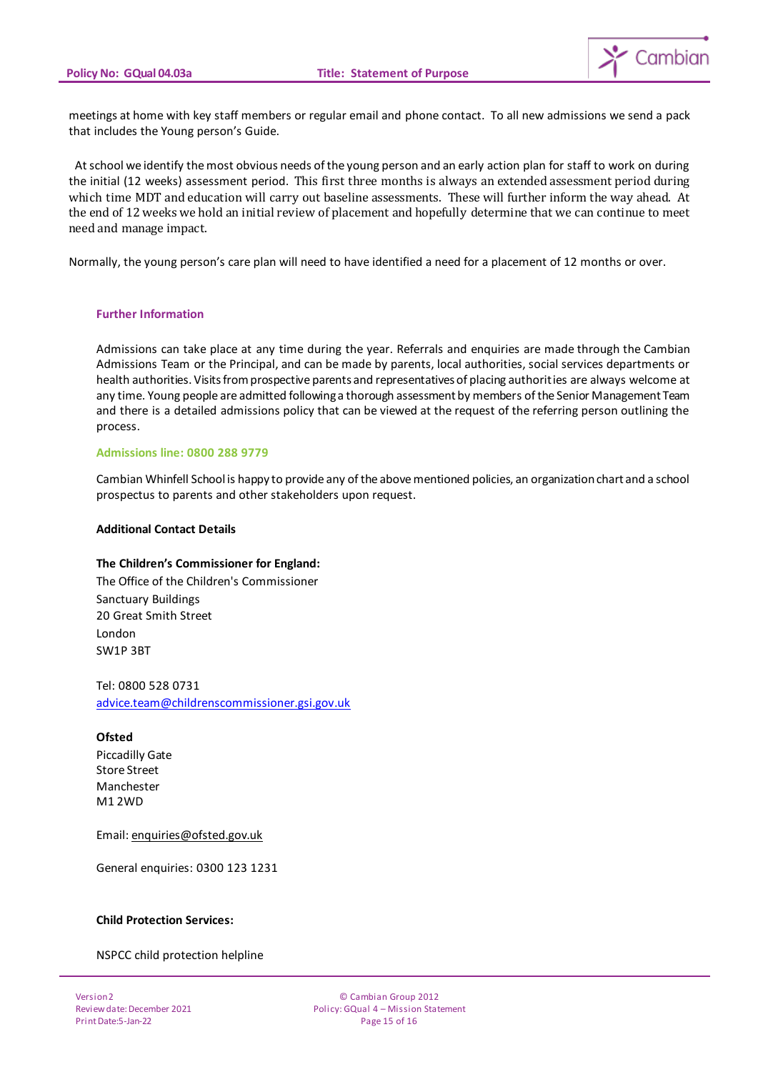

meetings at home with key staff members or regular email and phone contact. To all new admissions we send a pack that includes the Young person's Guide.

 At school we identify the most obvious needs of the young person and an early action plan for staff to work on during the initial (12 weeks) assessment period. This first three months is always an extended assessment period during which time MDT and education will carry out baseline assessments. These will further inform the way ahead. At the end of 12 weeks we hold an initial review of placement and hopefully determine that we can continue to meet need and manage impact.

Normally, the young person's care plan will need to have identified a need for a placement of 12 months or over.

#### **Further Information**

Admissions can take place at any time during the year. Referrals and enquiries are made through the Cambian Admissions Team or the Principal, and can be made by parents, local authorities, social services departments or health authorities. Visits from prospective parents and representatives of placing authorities are always welcome at any time. Young people are admitted following a thorough assessment by members of the Senior Management Team and there is a detailed admissions policy that can be viewed at the request of the referring person outlining the process.

#### **Admissions line: 0800 288 9779**

Cambian Whinfell School is happy to provide any of the above mentioned policies, an organization chart and a school prospectus to parents and other stakeholders upon request.

#### **Additional Contact Details**

## **The Children's Commissioner for England:**

The Office of the Children's Commissioner Sanctuary Buildings 20 Great Smith Street London SW1P 3BT

Tel: 0800 528 0731 [advice.team@childrenscommissioner.gsi.gov.u](mailto:advice.team@childrenscommissioner.gsi.gov.uk)k

## **Ofsted**

Piccadilly Gate Store Street Manchester M1 2WD

Email[: enquiries@ofsted.gov.uk](mailto:enquiries@ofsted.gov.uk)

General enquiries: 0300 123 1231

#### **Child Protection Services:**

NSPCC child protection helpline